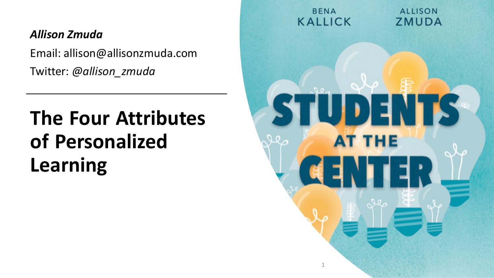#### *Allison Zmuda*

Email: allison@allisonzmuda.com Twitter: *@allison\_zmuda*

## **The Four Attributes of Personalized Learning**

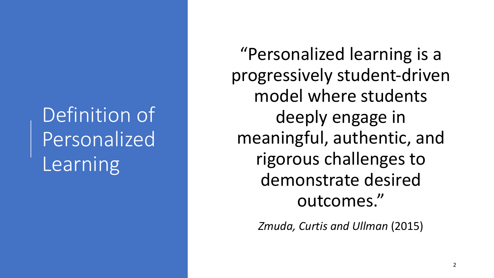# Definition of Personalized Learning

"Personalized learning is a progressively student-driven model where students deeply engage in meaningful, authentic, and rigorous challenges to demonstrate desired outcomes."

*Zmuda, Curtis and Ullman* (2015)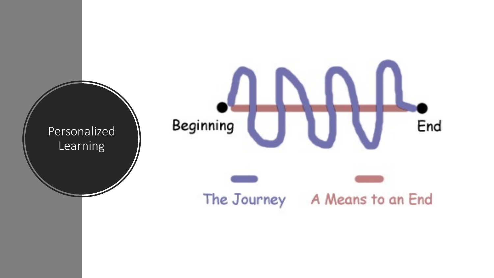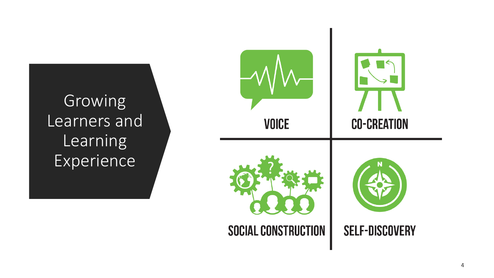Growing Learners and Learning Experience

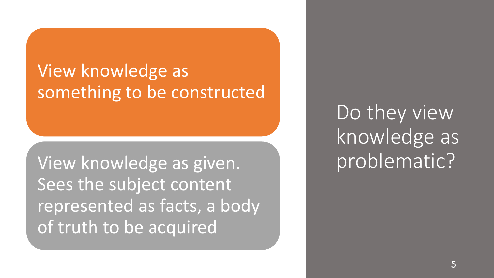### View knowledge as something to be constructed

View knowledge as given. Sees the subject content represented as facts, a body of truth to be acquired

Do they view knowledge as problematic?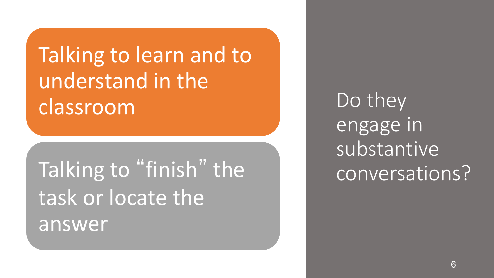Talking to learn and to understand in the classroom

Talking to "finish" the task or locate the answer

Do they engage in substantive conversations?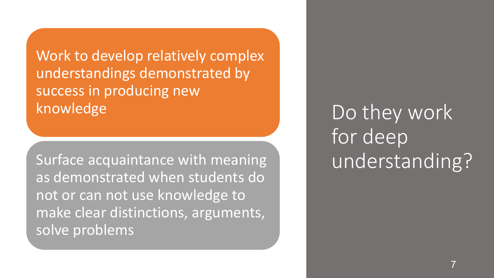Work to develop relatively complex understandings demonstrated by success in producing new knowledge

Surface acquaintance with meaning as demonstrated when students do not or can not use knowledge to make clear distinctions, arguments, solve problems

Do they work for deep understanding?

7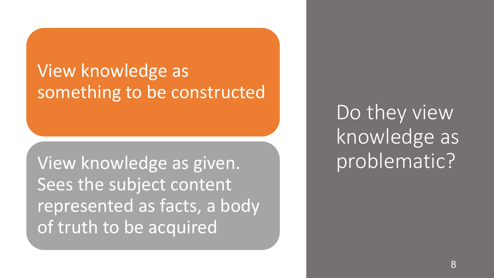### View knowledge as something to be constructed

View knowledge as given. Sees the subject content represented as facts, a body of truth to be acquired

Do they view knowledge as problematic?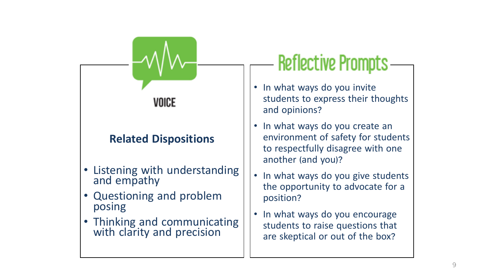

# **Reflective Prompts**

- In what ways do you invite students to express their thoughts and opinions?
- In what ways do you create an environment of safety for students to respectfully disagree with one another (and you)?
- In what ways do you give students the opportunity to advocate for a position?
- In what ways do you encourage students to raise questions that are skeptical or out of the box?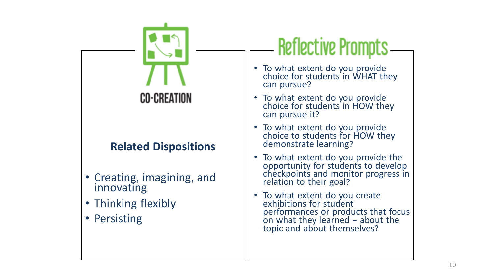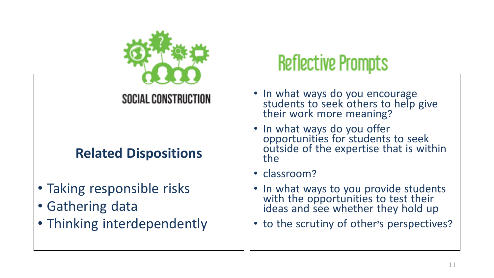

#### SOCIAL CONSTRUCTION

#### **Related Dispositions**

- Taking responsible risks
- Gathering data
- Thinking interdependently

# **Reflective Prompts**

- In what ways do you encourage<br>students to seek others to help give<br>their work more meaning?
- In what ways do you offer opportunities for students to seek outside of the expertise that is within the
- classroom?
- In what ways to you provide students with the opportunities to test their ideas and see whether they hold up
- to the scrutiny of other's perspectives?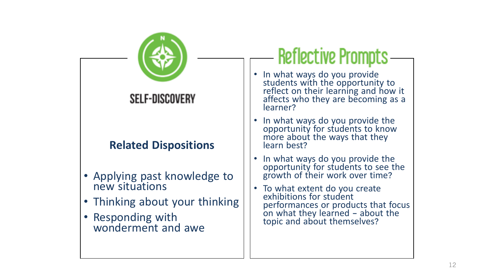

# **Reflective Prompts**

- In what ways do you provide students with the opportunity to reflect on their learning and how it affects who they are becoming as a
- In what ways do you provide the opportunity for students to know more about the ways that they<br>learn best?
- In what ways do you provide the opportunity for students to see the growth of their work over time?
- To what extent do you create performances or products that focus on what they learned — about the topic and about themselves?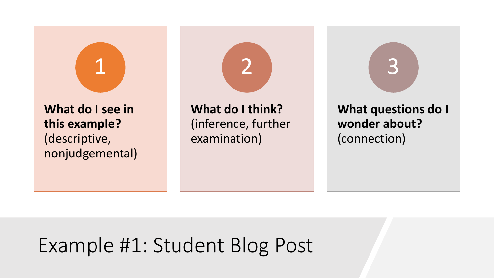

#### **What do I see in this example?** (descriptive, nonjudgemental)

**What do I think?** (inference, further examination)

2

**What questions do I wonder about?** (connection)

3

## Example #1: Student Blog Post